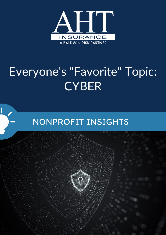

# Everyone's "Favorite" Topic: **CYBER**

## NONPROFIT INSIGHTS

I